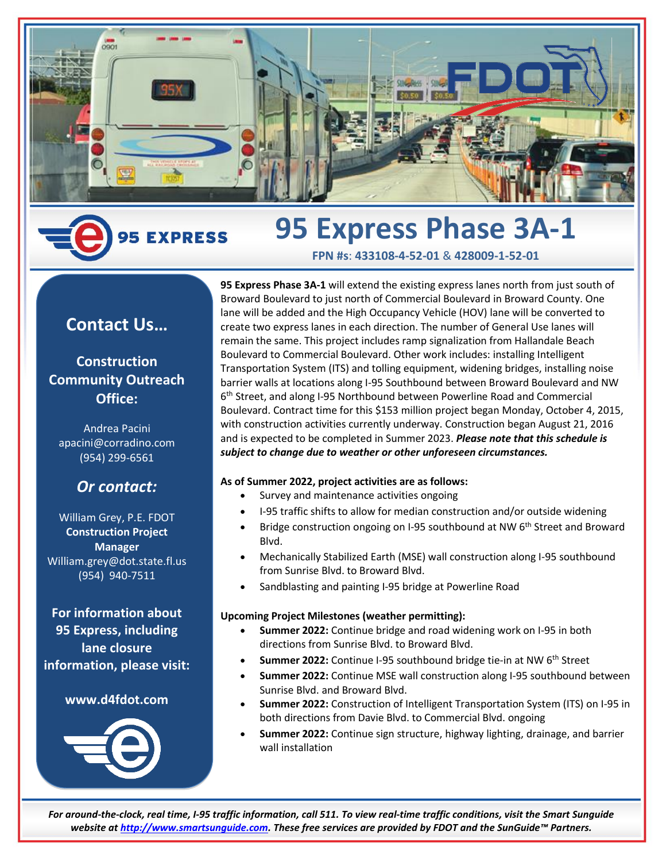

### **95 Express Phase 3A-1 5 EXPRESS**

**Contact Us…**

## **Construction Community Outreach Office:**

Andrea Pacini apacini@corradino.com (954) 299-6561

# *Or contact:*

William Grey, P.E. FDOT **Construction Project Manager** William.grey@dot.state.fl.us (954) 940-7511

**For information about 95 Express, including lane closure information, please visit:**

### **www.d4fdot.com**



**95 Express Phase 3A-1** will extend the existing express lanes north from just south of Broward Boulevard to just north of Commercial Boulevard in Broward County. One lane will be added and the High Occupancy Vehicle (HOV) lane will be converted to create two express lanes in each direction. The number of General Use lanes will remain the same. This project includes ramp signalization from Hallandale Beach Boulevard to Commercial Boulevard. Other work includes: installing Intelligent Transportation System (ITS) and tolling equipment, widening bridges, installing noise barrier walls at locations along I-95 Southbound between Broward Boulevard and NW 6 th Street, and along I-95 Northbound between Powerline Road and Commercial Boulevard. Contract time for this \$153 million project began Monday, October 4, 2015, with construction activities currently underway. Construction began August 21, 2016 and is expected to be completed in Summer 2023. *Please note that this schedule is subject to change due to weather or other unforeseen circumstances.*

**FPN #s**: **433108-4-52-01** & **428009-1-52-01**

#### **As of Summer 2022, project activities are as follows:**

- Survey and maintenance activities ongoing
- I-95 traffic shifts to allow for median construction and/or outside widening
- Bridge construction ongoing on I-95 southbound at NW 6<sup>th</sup> Street and Broward Blvd.
- Mechanically Stabilized Earth (MSE) wall construction along I-95 southbound from Sunrise Blvd. to Broward Blvd.
- Sandblasting and painting I-95 bridge at Powerline Road

#### **Upcoming Project Milestones (weather permitting):**

- **Summer 2022:** Continue bridge and road widening work on I-95 in both directions from Sunrise Blvd. to Broward Blvd.
- **Summer 2022:** Continue I-95 southbound bridge tie-in at NW 6<sup>th</sup> Street
- **Summer 2022:** Continue MSE wall construction along I-95 southbound between Sunrise Blvd. and Broward Blvd.
- **Summer 2022:** Construction of Intelligent Transportation System (ITS) on I-95 in both directions from Davie Blvd. to Commercial Blvd. ongoing
- **Summer 2022:** Continue sign structure, highway lighting, drainage, and barrier wall installation

*For around-the-clock, real time, I-95 traffic information, call 511. To view real-time traffic conditions, visit the Smart Sunguide website a[t http://www.smartsunguide.com.](http://www.smartsunguide.com/) These free services are provided by FDOT and the SunGuide™ Partners.*